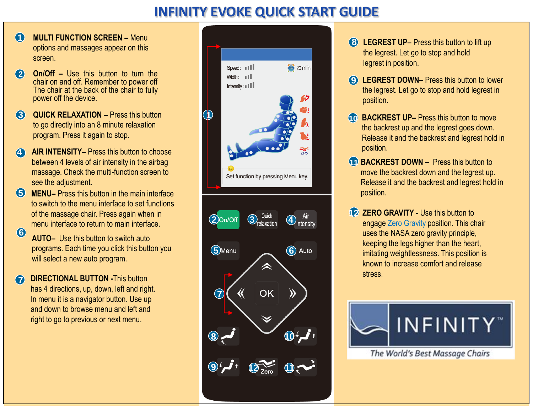## **INFINITY EVOKE QUICK START GUIDE**

- **MULTI FUNCTION SCREEN –** Menu options and massages appear on this screen. **1**
- **2 On/Off –** Use this button to turn the chair on and off. Remember to power off The chair at the back of the chair to fully power off the device.
- **3 QUICK RELAXATION –** Press this button to go directly into an 8 minute relaxation program. Press it again to stop.
- **4 AIR INTENSITY–** Press this button to choose between 4 levels of air intensity in the airbag massage. Check the multi-function screen to see the adjustment.
- **5** MENU– Press this button in the main interface to switch to the menu interface to set functions of the massage chair. Press again when in menu interface to return to main interface.
- **6 AUTO–** Use this button to switch auto programs. Each time you click this button you will select a new auto program.
- **DIRECTIONAL BUTTON This button** has 4 directions, up, down, left and right. In menu it is a navigator button. Use up and down to browse menu and left and right to go to previous or next menu. **7**



- **8 LEGREST UP–** Press this button to lift up the legrest. Let go to stop and hold legrest in position.
- **9 LEGREST DOWN–** Press this button to lower the legrest. Let go to stop and hold legrest in position.
- **10 BACKREST UP–** Press this button to move the backrest up and the legrest goes down. Release it and the backrest and legrest hold in position.
- **11 BACKREST DOWN –** Press this button to move the backrest down and the legrest up. Release it and the backrest and legrest hold in position.
- **12 ZERO GRAVITY Use this button to** engage Zero Gravity position. This chair uses the NASA zero gravity principle, keeping the legs higher than the heart, imitating weightlessness. This position is known to increase comfort and release stress.



The World's Best Massage Chairs